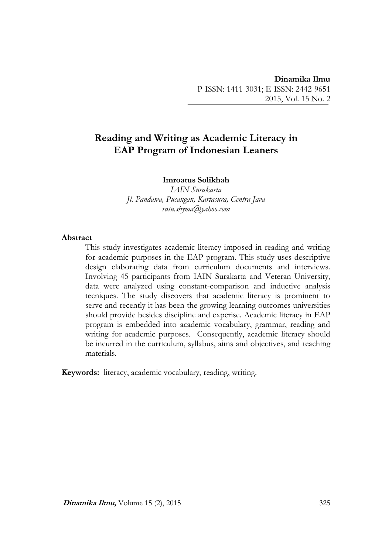# **Reading and Writing as Academic Literacy in EAP Program of Indonesian Leaners**

### **Imroatus Solikhah**

*IAIN Surakarta Jl. Pandawa, Pucangan, Kartasura, Centra Java ratu.shyma@yahoo.com*

#### **Abstract**

This study investigates academic literacy imposed in reading and writing for academic purposes in the EAP program. This study uses descriptive design elaborating data from curriculum documents and interviews. Involving 45 participants from IAIN Surakarta and Veteran University, data were analyzed using constant-comparison and inductive analysis tecniques. The study diseovers that academic literacy is prominent to serve and recently it has been the growing learning outcomes universities should provide besides discipline and experise. Academic literacy in EAP program is embedded into academic vocabulary, grammar, reading and writing for academic purposes. Consequently, academic literacy should be incurred in the curriculum, syllabus, aims and objectives, and teaching materials.

**Keywords:** literacy, academic vocabulary, reading, writing.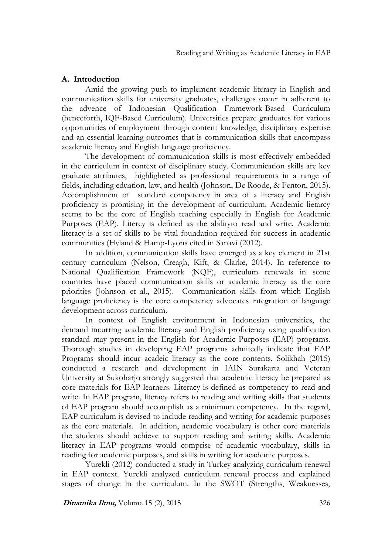#### **A. Introduction**

Amid the growing push to implement academic literacy in English and communication skills for university graduates, challenges occur in adherent to the advence of Indonesian Qualification Framework-Based Curriculum (henceforth, IQF-Based Curriculum). Universities prepare graduates for various opportunities of employment through content knowledge, disciplinary expertise and an essential learning outcomes that is communication skills that encompass academic literacy and English language proficiency.

The development of communication skills is most effectively embedded in the curriculum in context of disciplinary study. Communication skills are key graduate attributes, highligheted as professional requirements in a range of fields, including eduation, law, and health (Johnson, De Roode, & Fenton, 2015). Accomplishment of standard competency in area of a literacy and English proficiency is promising in the development of curriculum. Academic lietarcy seems to be the core of English teaching especially in English for Academic Purposes (EAP). Litercy is defined as the abilityto read and write. Academic literacy is a set of skills to be vital foundation required for success in academic communities (Hyland & Hamp-Lyons cited in Sanavi (2012).

In addition, communication skills have emerged as a key element in 21st century curriculum (Nelson, Creagh, Kift, & Clarke, 2014). In reference to National Qualification Framework (NQF), curriculum renewals in some countries have placed communication skills or academic literacy as the core priorities (Johnson et al., 2015). Communication skills from which English language proficiency is the core competency advocates integration of language development across curriculum.

In context of English environment in Indonesian universities, the demand incurring academic literacy and English proficiency using qualification standard may present in the English for Academic Purposes (EAP) programs. Thorough studies in developing EAP programs admitedly indicate that EAP Programs should incur acadeic literacy as the core contents. Solikhah (2015) conducted a research and development in IAIN Surakarta and Veteran University at Sukoharjo strongly suggested that academic literacy be prepared as core materials for EAP learners. Literacy is defined as competency to read and write. In EAP program, literacy refers to reading and writing skills that students of EAP program should accomplish as a minimum competency. In the regard, EAP curriculum is devised to include reading and writing for academic purposes as the core materials. In addition, academic vocabulary is other core materials the students should achieve to support reading and writing skills. Academic literacy in EAP programs would comprise of academic vocabulary, skills in reading for academic purposes, and skills in writing for academic purposes.

Yurekli (2012) conducted a study in Turkey analyzing curriculum renewal in EAP context. Yurekli analyzed curriculum renewal process and explained stages of change in the curriculum. In the SWOT (Strengths, Weaknesses,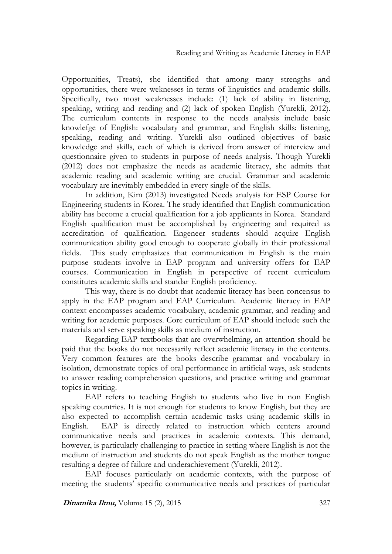Opportunities, Treats), she identified that among many strengths and opportunities, there were weknesses in terms of linguistics and academic skills. Specifically, two most weaknesses include: (1) lack of ability in listening, speaking, writing and reading and (2) lack of spoken English (Yurekli, 2012). The curriculum contents in response to the needs analysis include basic knowlefge of English: vocabulary and grammar, and English skills: listening, speaking, reading and writing. Yurekli also outlined objectives of basic knowledge and skills, each of which is derived from answer of interview and questionnaire given to students in purpose of needs analysis. Though Yurekli (2012) does not emphasize the needs as academic literacy, she admits that academic reading and academic writing are crucial. Grammar and academic vocabulary are inevitably embedded in every single of the skills.

In addition, Kim (2013) investigated Needs analysis for ESP Course for Engineering students in Korea. The study identified that English communication ability has become a crucial qualification for a job applicants in Korea. Standard English qualification must be accomplished by engineering and required as accreditation of qualification. Engeneer students should acquire English communication ability good enough to cooperate globally in their professional fields. This study emphasizes that communication in English is the main purpose students involve in EAP program and university offers for EAP courses. Communication in English in perspective of recent curriculum constitutes academic skills and standar English proficiency.

This way, there is no doubt that academic literacy has been concensus to apply in the EAP program and EAP Curriculum. Academic literacy in EAP context encompasses academic vocabulary, academic grammar, and reading and writing for academic purposes. Core curriculum of EAP should include such the materials and serve speaking skills as medium of instruction.

Regarding EAP textbooks that are overwhelming, an attention should be paid that the books do not necessarily reflect academic literacy in the contents. Very common features are the books describe grammar and vocabulary in isolation, demonstrate topics of oral performance in artificial ways, ask students to answer reading comprehension questions, and practice writing and grammar topics in writing.

EAP refers to teaching English to students who live in non English speaking countries. It is not enough for students to know English, but they are also expected to accomplish certain academic tasks using academic skills in English. EAP is directly related to instruction which centers around communicative needs and practices in academic contexts. This demand, however, is particularly challenging to practice in setting where English is not the medium of instruction and students do not speak English as the mother tongue resulting a degree of failure and underachievement (Yurekli, 2012).

EAP focuses particularly on academic contexts, with the purpose of meeting the students' specific communicative needs and practices of particular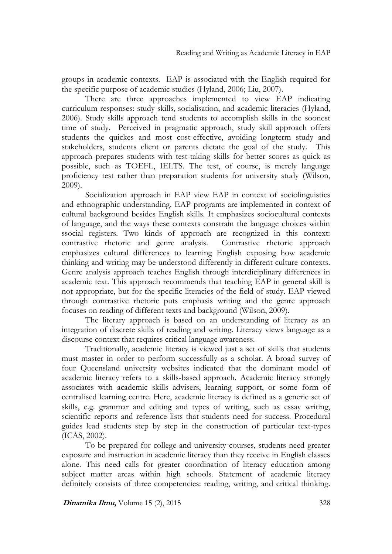groups in academic contexts. EAP is associated with the English required for the specific purpose of academic studies (Hyland, 2006; Liu, 2007).

There are three approaches implemented to view EAP indicating curriculum responses: study skills, socialisation, and academic literacies (Hyland, 2006). Study skills approach tend students to accomplish skills in the soonest time of study. Perceived in pragmatic approach, study skill approach offers students the quickes and most cost-effective, avoiding longterm study and stakeholders, students client or parents dictate the goal of the study. This approach prepares students with test-taking skills for better scores as quick as possible, such as TOEFL, IELTS. The test, of course, is merely language proficiency test rather than preparation students for university study (Wilson, 2009).

Socialization approach in EAP view EAP in context of sociolinguistics and ethnographic understanding. EAP programs are implemented in context of cultural background besides English skills. It emphasizes sociocultural contexts of language, and the ways these contexts constrain the language choices within ssocial registers. Two kinds of approach are recognized in this context: contrastive rhetoric and genre analysis. Contrastive rhetoric approach emphasizes cultural differences to learning English exposing how academic thinking and writing may be understood differently in different culture contexts. Genre analysis approach teaches English through interdiciplinary differences in academic text. This approach recommends that teaching EAP in general skill is not appropriate, but for the specific literacies of the field of study. EAP viewed through contrastive rhetoric puts emphasis writing and the genre approach focuses on reading of different texts and background (Wilson, 2009).

The literary approach is based on an understanding of literacy as an integration of discrete skills of reading and writing. Literacy views language as a discourse context that requires critical language awareness.

Traditionally, academic literacy is viewed just a set of skills that students must master in order to perform successfully as a scholar. A broad survey of four Queensland university websites indicated that the dominant model of academic literacy refers to a skills-based approach. Academic literacy strongly associates with academic skills advisers, learning support, or some form of centralised learning centre. Here, academic literacy is defined as a generic set of skills, e.g. grammar and editing and types of writing, such as essay writing, scientific reports and reference lists that students need for success. Procedural guides lead students step by step in the construction of particular text-types (ICAS, 2002).

To be prepared for college and university courses, students need greater exposure and instruction in academic literacy than they receive in English classes alone. This need calls for greater coordination of literacy education among subject matter areas within high schools. Statement of academic literacy definitely consists of three competencies: reading, writing, and critical thinking.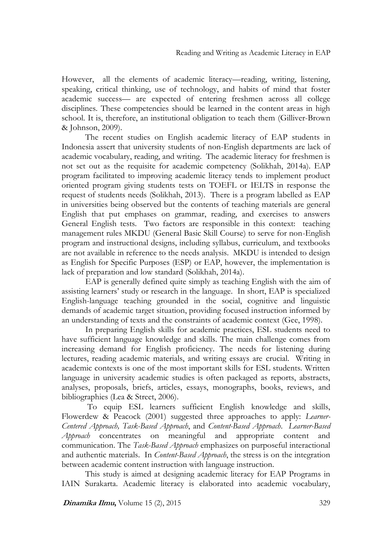However, all the elements of academic literacy—reading, writing, listening, speaking, critical thinking, use of technology, and habits of mind that foster academic success— are expected of entering freshmen across all college disciplines. These competencies should be learned in the content areas in high school. It is, therefore, an institutional obligation to teach them (Gilliver-Brown & Johnson, 2009).

The recent studies on English academic literacy of EAP students in Indonesia assert that university students of non-English departments are lack of academic vocabulary, reading, and writing. The academic literacy for freshmen is not set out as the requisite for academic competency (Solikhah, 2014a). EAP program facilitated to improving academic literacy tends to implement product oriented program giving students tests on TOEFL or IELTS in response the request of students needs (Solikhah, 2013). There is a program labelled as EAP in universities being observed but the contents of teaching materials are general English that put emphases on grammar, reading, and exercises to answers General English tests. Two factors are responsible in this context: teaching management rules MKDU (General Basic Skill Course) to serve for non-English program and instructional designs, including syllabus, curriculum, and textbooks are not available in reference to the needs analysis. MKDU is intended to design as English for Specific Purposes (ESP) or EAP, however, the implementation is lack of preparation and low standard (Solikhah, 2014a).

EAP is generally defined quite simply as teaching English with the aim of assisting learners' study or research in the language. In short, EAP is specialized English-language teaching grounded in the social, cognitive and linguistic demands of academic target situation, providing focused instruction informed by an understanding of texts and the constraints of academic context (Gee, 1998).

In preparing English skills for academic practices, ESL students need to have sufficient language knowledge and skills. The main challenge comes from increasing demand for English proficiency. The needs for listening during lectures, reading academic materials, and writing essays are crucial. Writing in academic contexts is one of the most important skills for ESL students. Written language in university academic studies is often packaged as reports, abstracts, analyses, proposals, briefs, articles, essays, monographs, books, reviews, and bibliographies (Lea & Street, 2006).

To equip ESL learners sufficient English knowledge and skills, Flowerdew & Peacock (2001) suggested three approaches to apply: *Learner-Centered Approach, Task-Based Approach*, and *Content-Based Approach*. *Learner-Based Approach* concentrates on meaningful and appropriate content and communication. The *Task-Based Approach* emphasizes on purposeful interactional and authentic materials. In *Content-Based Approach*, the stress is on the integration between academic content instruction with language instruction.

This study is aimed at designing academic literacy for EAP Programs in IAIN Surakarta. Academic literacy is elaborated into academic vocabulary,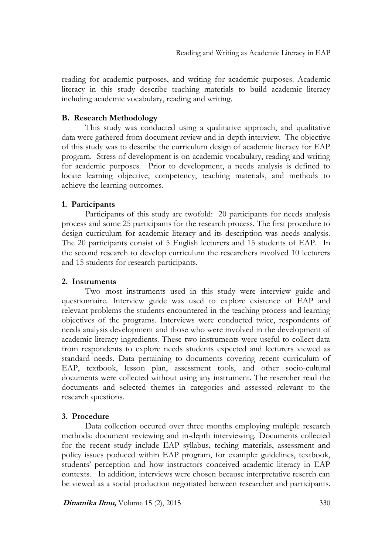reading for academic purposes, and writing for academic purposes. Academic literacy in this study describe teaching materials to build academic literacy including academic vocabulary, reading and writing.

## **B. Research Methodology**

This study was conducted using a qualitative approach, and qualitative data were gathered from document review and in-depth interview. The objective of this study was to describe the curriculum design of academic literacy for EAP program. Stress of development is on academic vocabulary, reading and writing for academic purposes. Prior to development, a needs analysis is defined to locate learning objective, competency, teaching materials, and methods to achieve the learning outcomes.

## **1. Participants**

Participants of this study are twofold: 20 participants for needs analysis process and some 25 participants for the research process. The first procedure to design curriculum for academic literacy and its description was needs analysis. The 20 participants consist of 5 English lecturers and 15 students of EAP. In the second research to develop curriculum the researchers involved 10 lecturers and 15 students for research participants.

## **2. Instruments**

Two most instruments used in this study were interview guide and questionnaire. Interview guide was used to explore existence of EAP and relevant problems the students encountered in the teaching process and learning objectives of the programs. Interviews were conducted twice, respondents of needs analysis development and those who were involved in the development of academic literacy ingredients. These two instruments were useful to collect data from respondents to explore needs students expected and lecturers viewed as standard needs. Data pertaining to documents covering recent curriculum of EAP, textbook, lesson plan, assessment tools, and other socio-cultural documents were collected without using any instrument. The resercher read the documents and selected themes in categories and assessed relevant to the research questions.

## **3. Procedure**

Data collection occured over three months employing multiple research methods: document reviewing and in-depth interviewing. Documents collected for the recent study include EAP syllabus, teching materials, assessment and policy issues poduced within EAP program, for example: guidelines, textbook, students' perception and how instructors conceived academic literacy in EAP contexts. In addition, interviews were chosen because interpretative reserch can be viewed as a social production negotiated between researcher and participants.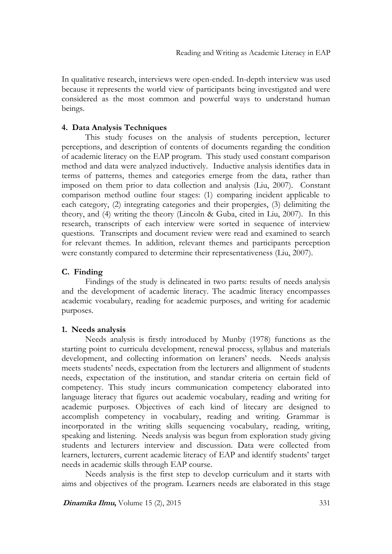In qualitative research, interviews were open-ended. In-depth interview was used because it represents the world view of participants being investigated and were considered as the most common and powerful ways to understand human beings.

### **4. Data Analysis Techniques**

This study focuses on the analysis of students perception, lecturer perceptions, and description of contents of documents regarding the condition of academic literacy on the EAP program. This study used constant comparison method and data were analyzed inductively. Inductive analysis identifies data in terms of patterns, themes and categories emerge from the data, rather than imposed on them prior to data collection and analysis (Liu, 2007). Constant comparison method outline four stages: (1) comparing incident applicable to each category, (2) integrating categories and their propergies, (3) delimiting the theory, and (4) writing the theory (Lincoln & Guba, cited in Liu, 2007). In this research, transcripts of each interview were sorted in sequence of interview questions. Transcripts and document review were read and examined to search for relevant themes. In addition, relevant themes and participants perception were constantly compared to determine their representativeness (Liu, 2007).

### **C. Finding**

Findings of the study is delineated in two parts: results of needs analysis and the development of academic literacy. The acadmic literacy encompasses academic vocabulary, reading for academic purposes, and writing for academic purposes.

### **1. Needs analysis**

Needs analysis is firstly introduced by Munby (1978) functions as the starting point to curriculu development, renewal process, syllabus and materials development, and collecting information on leraners' needs. Needs analysis meets students' needs, expectation from the lecturers and allignment of students needs, expectation of the institution, and standar criteria on certain field of competency. This study incurs communication competency elaborated into language literacy that figures out academic vocabulary, reading and writing for academic purposes. Objectives of each kind of litecary are designed to accomplish competency in vocabulary, reading and writing. Grammar is incorporated in the writing skills sequencing vocabulary, reading, writing, speaking and listening. Needs analysis was begun from exploration study giving students and lecturers interview and discussion. Data were collected from learners, lecturers, current academic literacy of EAP and identify students' target needs in academic skills through EAP course.

Needs analysis is the first step to develop curriculum and it starts with aims and objectives of the program. Learners needs are elaborated in this stage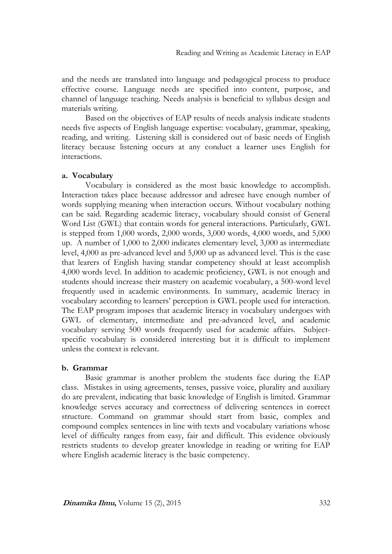and the needs are translated into language and pedagogical process to produce effective course. Language needs are specified into content, purpose, and channel of language teaching. Needs analysis is beneficial to syllabus design and materials writing.

Based on the objectives of EAP results of needs analysis indicate students needs five aspects of English language expertise: vocabulary, grammar, speaking, reading, and writing. Listening skill is considered out of basic needs of English literacy because listening occurs at any conduct a learner uses English for interactions.

#### **a. Vocabulary**

Vocabulary is considered as the most basic knowledge to accomplish. Interaction takes place because addressor and adresee have enough number of words supplying meaning when interaction occurs. Without vocabulary nothing can be said. Regarding academic literacy, vocabulary should consist of General Word List (GWL) that contain words for general interactions. Particularly, GWL is stepped from 1,000 words, 2,000 words, 3,000 words, 4,000 words, and 5,000 up. A number of 1,000 to 2,000 indicates elementary level, 3,000 as intermediate level, 4,000 as pre-advanced level and 5,000 up as advanced level. This is the case that learers of English having standar competency should at least accomplish 4,000 words level. In addition to academic proficiency, GWL is not enough and students should increase their mastery on academic vocabulary, a 500-word level frequently used in academic environments. In summary, academic literacy in vocabulary according to learners' perception is GWL people used for interaction. The EAP program imposes that academic literacy in vocabulary undergoes with GWL of elementary, intermediate and pre-advanced level, and academic vocabulary serving 500 words frequently used for academic affairs. Subjectspecific vocabulary is considered interesting but it is difficult to implement unless the context is relevant.

#### **b. Grammar**

Basic grammar is another problem the students face during the EAP class. Mistakes in using agreements, tenses, passive voice, plurality and auxiliary do are prevalent, indicating that basic knowledge of English is limited. Grammar knowledge serves accuracy and correctness of delivering sentences in correct structure. Command on grammar should start from basic, complex and compound complex sentences in line with texts and vocabulary variations whose level of difficulty ranges from easy, fair and difficult. This evidence obviously restricts students to develop greater knowledge in reading or writing for EAP where English academic literacy is the basic competency.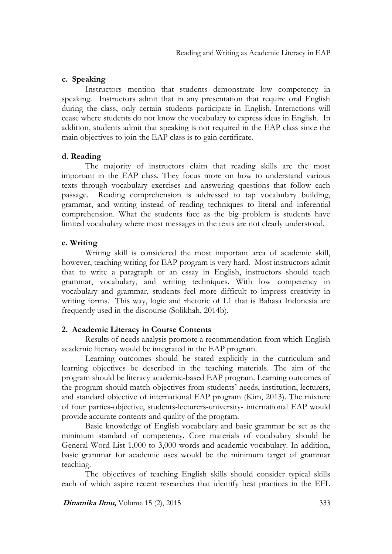#### **c. Speaking**

Instructors mention that students demonstrate low competency in speaking. Instructors admit that in any presentation that require oral English during the class, only certain students participate in English. Interactions will cease where students do not know the vocabulary to express ideas in English. In addition, students admit that speaking is not required in the EAP class since the main objectives to join the EAP class is to gain certificate.

#### **d. Reading**

The majority of instructors claim that reading skills are the most important in the EAP class. They focus more on how to understand various texts through vocabulary exercises and answering questions that follow each passage. Reading comprehension is addressed to tap vocabulary building, grammar, and writing instead of reading techniques to literal and inferential comprehension. What the students face as the big problem is students have limited vocabulary where most messages in the texts are not clearly understood.

#### **e. Writing**

Writing skill is considered the most important area of academic skill, however, teaching writing for EAP program is very hard. Most instructors admit that to write a paragraph or an essay in English, instructors should teach grammar, vocabulary, and writing techniques. With low competency in vocabulary and grammar, students feel more difficult to impress creativity in writing forms. This way, logic and rhetoric of L1 that is Bahasa Indonesia are frequently used in the discourse (Solikhah, 2014b).

#### **2. Academic Literacy in Course Contents**

Results of needs analysis promote a recommendation from which English academic literacy would be integrated in the EAP program.

Learning outcomes should be stated explicitly in the curriculum and learning objectives be described in the teaching materials. The aim of the program should be literacy academic-based EAP program. Learning outcomes of the program should match objectives from students' needs, institution, lecturers, and standard objective of international EAP program (Kim, 2013). The mixture of four parties-objective, students-lecturers-university- international EAP would provide accurate contents and quality of the program.

Basic knowledge of English vocabulary and basic grammar be set as the minimum standard of competency. Core materials of vocabulary should be General Word List 1,000 to 3,000 words and academic vocabulary. In addition, basic grammar for academic uses would be the minimum target of grammar teaching.

The objectives of teaching English skills should consider typical skills each of which aspire recent researches that identify best practices in the EFL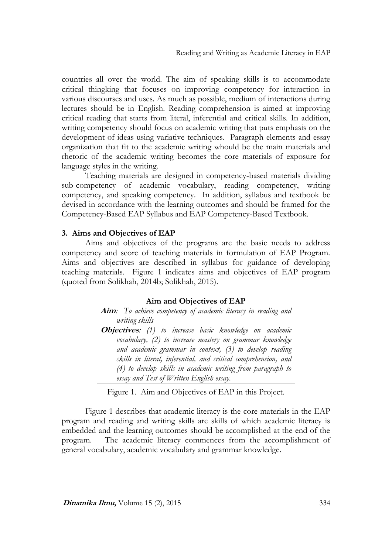countries all over the world. The aim of speaking skills is to accommodate critical thingking that focuses on improving competency for interaction in various discourses and uses. As much as possible, medium of interactions during lectures should be in English. Reading comprehension is aimed at improving critical reading that starts from literal, inferential and critical skills. In addition, writing competency should focus on academic writing that puts emphasis on the development of ideas using variative techniques. Paragraph elements and essay organization that fit to the academic writing whould be the main materials and rhetoric of the academic writing becomes the core materials of exposure for language styles in the writing.

Teaching materials are designed in competency-based materials dividing sub-competency of academic vocabulary, reading competency, writing competency, and speaking competency. In addition, syllabus and textbook be devised in accordance with the learning outcomes and should be framed for the Competency-Based EAP Syllabus and EAP Competency-Based Textbook.

#### **3. Aims and Objectives of EAP**

Aims and objectives of the programs are the basic needs to address competency and score of teaching materials in formulation of EAP Program. Aims and objectives are described in syllabus for guidance of developing teaching materials. Figure 1 indicates aims and objectives of EAP program (quoted from Solikhah, 2014b; Solikhah, 2015).

> **Aim and Objectives of EAP Aim***: To achieve competency of academic literacy in reading and writing skills*  **Objectives***: (1) to increase basic knowledge on academic vocabulary, (2) to increase mastery on grammar knowledge and academic grammar in context, (3) to develop reading skills in literal, inferential, and critical comprehension, and (4) to develop skills in academic writing from paragraph to essay and Test of Written English essay.*

Figure 1. Aim and Objectives of EAP in this Project.

Figure 1 describes that academic literacy is the core materials in the EAP program and reading and writing skills are skills of which academic literacy is embedded and the learning outcomes should be accomplished at the end of the program. The academic literacy commences from the accomplishment of general vocabulary, academic vocabulary and grammar knowledge.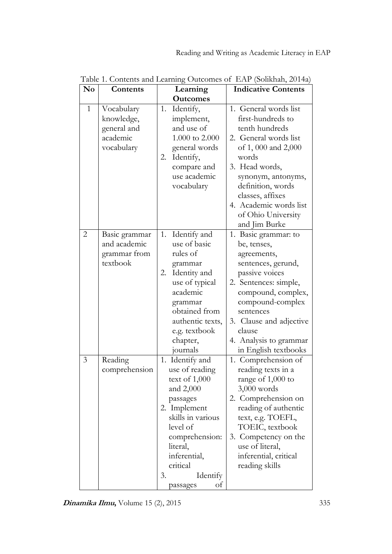| N <sub>0</sub> | Contents                                                          | Learning                                                                                                                                                                                                                       | <b>Indicative Contents</b>                                                                                                                                                                                                                                             |
|----------------|-------------------------------------------------------------------|--------------------------------------------------------------------------------------------------------------------------------------------------------------------------------------------------------------------------------|------------------------------------------------------------------------------------------------------------------------------------------------------------------------------------------------------------------------------------------------------------------------|
|                |                                                                   | <b>Outcomes</b>                                                                                                                                                                                                                |                                                                                                                                                                                                                                                                        |
| $\mathbf{1}$   | Vocabulary<br>knowledge,<br>general and<br>academic<br>vocabulary | Identify,<br>1.<br>implement,<br>and use of<br>1.000 to 2.000<br>general words<br>Identify,<br>2.<br>compare and<br>use academic<br>vocabulary                                                                                 | 1. General words list<br>first-hundreds to<br>tenth hundreds<br>2. General words list<br>of 1,000 and 2,000<br>words<br>3. Head words,<br>synonym, antonyms,<br>definition, words<br>classes, affixes<br>4. Academic words list<br>of Ohio University<br>and Jim Burke |
| 2              | Basic grammar<br>and academic<br>grammar from<br>textbook         | Identify and<br>1.<br>use of basic<br>rules of<br>grammar<br>Identity and<br>2.<br>use of typical<br>academic<br>grammar<br>obtained from<br>authentic texts,<br>e.g. textbook<br>chapter,<br>journals                         | 1. Basic grammar: to<br>be, tenses,<br>agreements,<br>sentences, gerund,<br>passive voices<br>2. Sentences: simple,<br>compound, complex,<br>compound-complex<br>sentences<br>3. Clause and adjective<br>clause<br>4. Analysis to grammar<br>in English textbooks      |
| 3              | Reading<br>comprehension                                          | 1. Identify and<br>use of reading<br>text of $1,000$<br>and $2,000$<br>passages<br>2. Implement<br>skills in various<br>level of<br>comprehension:<br>literal,<br>inferential,<br>critical<br>3.<br>Identify<br>of<br>passages | 1. Comprehension of<br>reading texts in a<br>range of 1,000 to<br>$3,000$ words<br>2. Comprehension on<br>reading of authentic<br>text, e.g. TOEFL,<br>TOEIC, textbook<br>3. Competency on the<br>use of literal,<br>inferential, critical<br>reading skills           |

Table 1. Contents and Learning Outcomes of EAP (Solikhah, 2014a)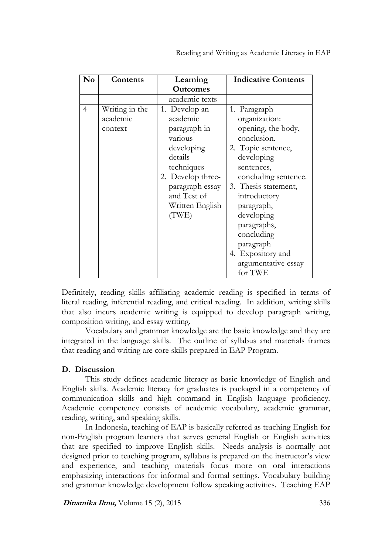| $\mathbf{N}\mathbf{o}$ | Contents                              | Learning                                                                                                                                                                       | <b>Indicative Contents</b>                                                                                                                                                                                                                                                                                        |
|------------------------|---------------------------------------|--------------------------------------------------------------------------------------------------------------------------------------------------------------------------------|-------------------------------------------------------------------------------------------------------------------------------------------------------------------------------------------------------------------------------------------------------------------------------------------------------------------|
|                        |                                       | <b>Outcomes</b>                                                                                                                                                                |                                                                                                                                                                                                                                                                                                                   |
|                        |                                       | academic texts                                                                                                                                                                 |                                                                                                                                                                                                                                                                                                                   |
| $\overline{4}$         | Writing in the<br>academic<br>context | 1. Develop an<br>academic<br>paragraph in<br>various<br>developing<br>details<br>techniques<br>2. Develop three-<br>paragraph essay<br>and Test of<br>Written English<br>(TWE) | 1. Paragraph<br>organization:<br>opening, the body,<br>conclusion.<br>2. Topic sentence,<br>developing<br>sentences,<br>concluding sentence.<br>3. Thesis statement,<br>introductory<br>paragraph,<br>developing<br>paragraphs,<br>concluding<br>paragraph<br>4. Expository and<br>argumentative essay<br>for TWE |

Definitely, reading skills affiliating academic reading is specified in terms of literal reading, inferential reading, and critical reading. In addition, writing skills that also incurs academic writing is equipped to develop paragraph writing, composition writing, and essay writing.

Vocabulary and grammar knowledge are the basic knowledge and they are integrated in the language skills. The outline of syllabus and materials frames that reading and writing are core skills prepared in EAP Program.

## **D. Discussion**

This study defines academic literacy as basic knowledge of English and English skills. Academic literacy for graduates is packaged in a competency of communication skills and high command in English language proficiency. Academic competency consists of academic vocabulary, academic grammar, reading, writing, and speaking skills.

In Indonesia, teaching of EAP is basically referred as teaching English for non-English program learners that serves general English or English activities that are specified to improve English skills. Needs analysis is normally not designed prior to teaching program, syllabus is prepared on the instructor's view and experience, and teaching materials focus more on oral interactions emphasizing interactions for informal and formal settings. Vocabulary building and grammar knowledge development follow speaking activities. Teaching EAP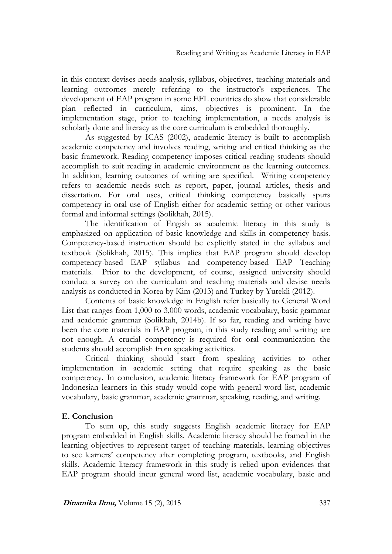in this context devises needs analysis, syllabus, objectives, teaching materials and learning outcomes merely referring to the instructor's experiences. The development of EAP program in some EFL countries do show that considerable plan reflected in curriculum, aims, objectives is prominent. In the implementation stage, prior to teaching implementation, a needs analysis is scholarly done and literacy as the core curriculum is embedded thoroughly.

As suggested by ICAS (2002), academic literacy is built to accomplish academic competency and involves reading, writing and critical thinking as the basic framework. Reading competency imposes critical reading students should accomplish to suit reading in academic environment as the learning outcomes. In addition, learning outcomes of writing are specified. Writing competency refers to academic needs such as report, paper, journal articles, thesis and dissertation. For oral uses, critical thinking competency basically spurs competency in oral use of English either for academic setting or other various formal and informal settings (Solikhah, 2015).

The identification of Engish as academic literacy in this study is emphasized on application of basic knowledge and skills in competency basis. Competency-based instruction should be explicitly stated in the syllabus and textbook (Solikhah, 2015). This implies that EAP program should develop competency-based EAP syllabus and competency-based EAP Teaching materials. Prior to the development, of course, assigned university should conduct a survey on the curriculum and teaching materials and devise needs analysis as conducted in Korea by Kim (2013) and Turkey by Yurekli (2012).

Contents of basic knowledge in English refer basically to General Word List that ranges from 1,000 to 3,000 words, academic vocabulary, basic grammar and academic grammar (Solikhah, 2014b). If so far, reading and writing have been the core materials in EAP program, in this study reading and writing are not enough. A crucial competency is required for oral communication the students should accomplish from speaking activities.

Critical thinking should start from speaking activities to other implementation in academic setting that require speaking as the basic competency. In conclusion, academic literacy framework for EAP program of Indonesian learners in this study would cope with general word list, academic vocabulary, basic grammar, academic grammar, speaking, reading, and writing.

## **E. Conclusion**

To sum up, this study suggests English academic literacy for EAP program embedded in English skills. Academic literacy should be framed in the learning objectives to represent target of teaching materials, learning objectives to see learners' competency after completing program, textbooks, and English skills. Academic literacy framework in this study is relied upon evidences that EAP program should incur general word list, academic vocabulary, basic and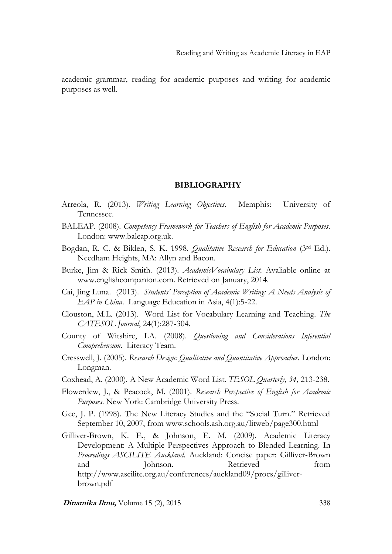academic grammar, reading for academic purposes and writing for academic purposes as well.

#### **BIBLIOGRAPHY**

- Arreola, R. (2013). *Writing Learning Objectives*. Memphis: University of Tennessee.
- BALEAP. (2008). *Competency Framework for Teachers of English for Academic Purposes*. London: www.baleap.org.uk.
- Bogdan, R. C. & Biklen, S. K. 1998. *Qualitative Research for Education* (3rd Ed.). Needham Heights, MA: Allyn and Bacon.
- Burke, Jim & Rick Smith. (2013). *AcademicVocabulary List*. Avaliable online at www.englishcompanion.com. Retrieved on January, 2014.
- Cai, Jing Luna. (2013). *Students' Perception of Academic Writing: A Needs Analysis of EAP in China*. Language Education in Asia, 4(1):5-22.
- Clouston, M.L. (2013). Word List for Vocabulary Learning and Teaching. *The CATESOL Journal*, 24(1):287-304.
- County of Witshire, LA. (2008). *Questioning and Considerations Inferential Comprehension*. Literacy Team.
- Cresswell, J. (2005). *Research Design: Qualitative and Quantitative Approaches*. London: Longman.
- Coxhead, A. (2000). A New Academic Word List. *TESOL Quarterly, 34,* 213-238.
- Flowerdew, J., & Peacock, M. (2001). *Research Perspective of English for Academic Purposes*. New York: Cambridge University Press.
- Gee, J. P. (1998). The New Literacy Studies and the "Social Turn." Retrieved September 10, 2007, from www.schools.ash.org.au/litweb/page300.html
- Gilliver-Brown, K. E., & Johnson, E. M. (2009). Academic Literacy Development: A Multiple Perspectives Approach to Blended Learning. In *Proceedings ASCILITE Auckland*. Auckland: Concise paper: Gilliver-Brown and Johnson. Retrieved from http://www.ascilite.org.au/conferences/auckland09/procs/gilliverbrown.pdf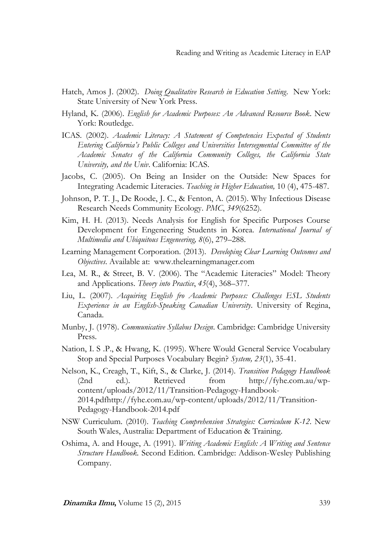- Hatch, Amos J. (2002). *Doing Qualitative Research in Education Setting*. New York: State University of New York Press.
- Hyland, K. (2006). *English for Academic Purposes: An Advanced Resource Book*. New York: Routledge.
- ICAS. (2002). *Academic Literacy: A Statement of Competencies Expected of Students Entering California's Public Colleges and Universities Intersegmental Committee of the Academic Senates of the California Community Colleges, the California State University, and the Univ*. California: ICAS.
- Jacobs, C. (2005). On Being an Insider on the Outside: New Spaces for Integrating Academic Literacies. *Teaching in Higher Education,* 10 (4), 475-487.
- Johnson, P. T. J., De Roode, J. C., & Fenton, A. (2015). Why Infectious Disease Research Needs Community Ecology. *PMC*, *349*(6252).
- Kim, H. H. (2013). Needs Analysis for English for Specific Purposes Course Development for Engeneering Students in Korea. *International Journal of Multimedia and Ubiquitous Engeneering, 8*(6), 279–288.
- Learning Management Corporation. (2013). *Developing Clear Learning Outcomes and Objectives*. Available at: www.thelearningmanager.com
- Lea, M. R., & Street, B. V. (2006). The "Academic Literacies" Model: Theory and Applications. *Theory into Practice*, *45*(4), 368–377.
- Liu, L. (2007). *Acquiring English fro Academic Purposes: Challenges ESL Students Experience in an English-Speaking Canadian University*. University of Regina, Canada.
- Munby, J. (1978). *Communicative Syllabus Design*. Cambridge: Cambridge University Press.
- Nation, I. S .P., & Hwang, K. (1995). Where Would General Service Vocabulary Stop and Special Purposes Vocabulary Begin? *System, 23*(1), 35-41.
- Nelson, K., Creagh, T., Kift, S., & Clarke, J. (2014). *Transition Pedagogy Handbook* (2nd ed.). Retrieved from http://fyhe.com.au/wpcontent/uploads/2012/11/Transition-Pedagogy-Handbook-2014.pdfhttp://fyhe.com.au/wp-content/uploads/2012/11/Transition-Pedagogy-Handbook-2014.pdf
- NSW Curriculum. (2010). *Teaching Comprehension Strategies: Curriculum K-12*. New South Wales, Australia: Department of Education & Training.
- Oshima, A. and Houge, A. (1991). *Writing Academic English: A Writing and Sentence Structure Handbook.* Second Edition. Cambridge: Addison-Wesley Publishing Company.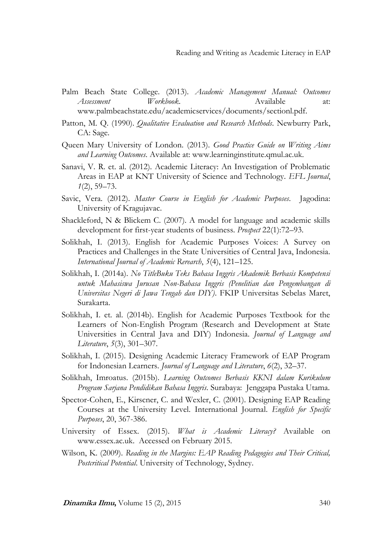- Palm Beach State College. (2013). *Academic Management Manual: Outcomes Assessment Workbook*. Available at: www.palmbeachstate.edu/academicservices/documents/sectionl.pdf.
- Patton, M. Q. (1990). *Qualitative Evaluation and Research Methods*. Newburry Park, CA: Sage.
- Queen Mary University of London. (2013). *Good Practice Guide on Writing Aims and Learning Outcomes*. Available at: www.learninginstitute.qmul.ac.uk.
- Sanavi, V. R. et. al. (2012). Academic Literacy: An Investigation of Problematic Areas in EAP at KNT University of Science and Technology. *EFL Journal*, *1*(2), 59–73.
- Savic, Vera. (2012). *Master Course in English for Academic Purposes*. Jagodina: University of Kragujavac.
- Shackleford, N & Blickem C. (2007). A model for language and academic skills development for first-year students of business. *Prospect* 22(1):72–93.
- Solikhah, I. (2013). English for Academic Purposes Voices: A Survey on Practices and Challenges in the State Universities of Central Java, Indonesia. *International Journal of Academic Rerearch*, *5*(4), 121–125.
- Solikhah, I. (2014a). *No TitleBuku Teks Bahasa Inggris Akademik Berbasis Kompetensi untuk Mahasiswa Jurusan Non-Bahasa Inggris (Penelitian dan Pengembangan di Universitas Negeri di Jawa Tengah dan DIY)*. FKIP Universitas Sebelas Maret, Surakarta.
- Solikhah, I. et. al. (2014b). English for Academic Purposes Textbook for the Learners of Non-English Program (Research and Development at State Universities in Central Java and DIY) Indonesia. *Journal of Language and Literature*, *5*(3), 301–307.
- Solikhah, I. (2015). Designing Academic Literacy Framework of EAP Program for Indonesian Learners. *Journal of Language and Literature*, *6*(2), 32–37.
- Solikhah, Imroatus. (2015b). *Learning Outcomes Berbasis KKNI dalam Kurikulum Program Sarjana Pendidikan Bahasa Inggris*. Surabaya: Jenggapa Pustaka Utama.
- Spector-Cohen, E., Kirscner, C. and Wexler, C. (2001). Designing EAP Reading Courses at the University Level. International Journal. *English for Specific Purposes*, 20, 367-386.
- University of Essex. (2015). *What is Academic Literacy?* Available on www.essex.ac.uk. Accessed on February 2015.
- Wilson, K. (2009). *Reading in the Margins: EAP Reading Pedagogies and Their Critical, Postcritical Potential*. University of Technology, Sydney.